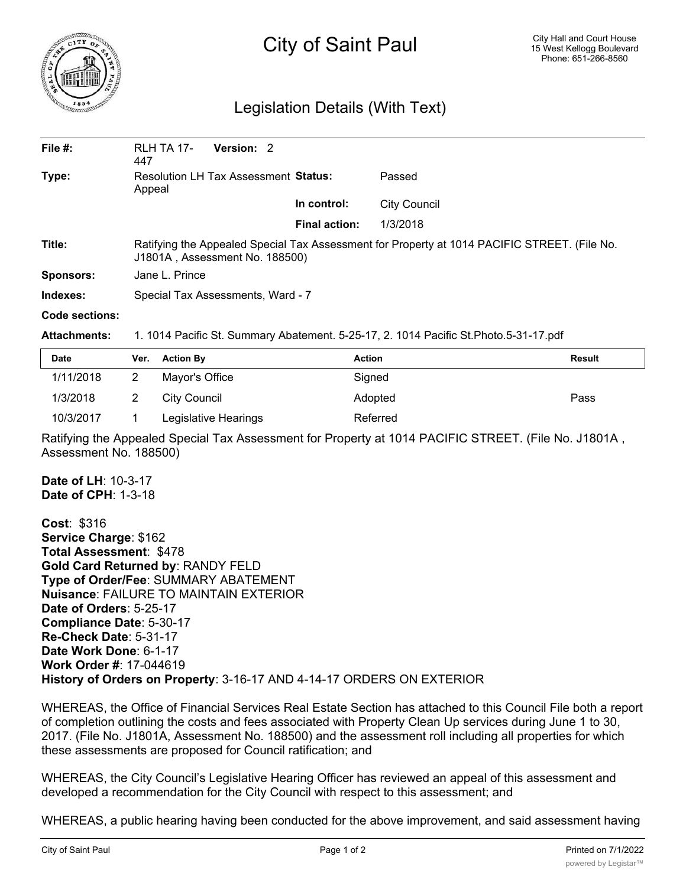

## City of Saint Paul

## Legislation Details (With Text)

| File $#$ :       | <b>RLH TA 17-</b><br>447                                                                                                       | Version: 2 |                      |              |  |  |
|------------------|--------------------------------------------------------------------------------------------------------------------------------|------------|----------------------|--------------|--|--|
| Type:            | Resolution LH Tax Assessment Status:<br>Appeal                                                                                 |            |                      | Passed       |  |  |
|                  |                                                                                                                                |            | In control:          | City Council |  |  |
|                  |                                                                                                                                |            | <b>Final action:</b> | 1/3/2018     |  |  |
| Title:           | Ratifying the Appealed Special Tax Assessment for Property at 1014 PACIFIC STREET. (File No.<br>J1801A, Assessment No. 188500) |            |                      |              |  |  |
| <b>Sponsors:</b> | Jane L. Prince                                                                                                                 |            |                      |              |  |  |
| Indexes:         | Special Tax Assessments, Ward - 7                                                                                              |            |                      |              |  |  |
| Code sections:   |                                                                                                                                |            |                      |              |  |  |

## **Attachments:** 1. 1014 Pacific St. Summary Abatement. 5-25-17, 2. 1014 Pacific St.Photo.5-31-17.pdf

| <b>Date</b> | Ver. Action By       | <b>Action</b> | <b>Result</b> |
|-------------|----------------------|---------------|---------------|
| 1/11/2018   | Mayor's Office       | Signed        |               |
| 1/3/2018    | City Council         | Adopted       | Pass          |
| 10/3/2017   | Legislative Hearings | Referred      |               |

Ratifying the Appealed Special Tax Assessment for Property at 1014 PACIFIC STREET. (File No. J1801A , Assessment No. 188500)

**Date of LH**: 10-3-17 **Date of CPH**: 1-3-18

**Cost**: \$316 **Service Charge**: \$162 **Total Assessment**: \$478 **Gold Card Returned by**: RANDY FELD **Type of Order/Fee**: SUMMARY ABATEMENT **Nuisance**: FAILURE TO MAINTAIN EXTERIOR **Date of Orders**: 5-25-17 **Compliance Date**: 5-30-17 **Re-Check Date**: 5-31-17 **Date Work Done**: 6-1-17 **Work Order #**: 17-044619 **History of Orders on Property**: 3-16-17 AND 4-14-17 ORDERS ON EXTERIOR

WHEREAS, the Office of Financial Services Real Estate Section has attached to this Council File both a report of completion outlining the costs and fees associated with Property Clean Up services during June 1 to 30, 2017. (File No. J1801A, Assessment No. 188500) and the assessment roll including all properties for which these assessments are proposed for Council ratification; and

WHEREAS, the City Council's Legislative Hearing Officer has reviewed an appeal of this assessment and developed a recommendation for the City Council with respect to this assessment; and

WHEREAS, a public hearing having been conducted for the above improvement, and said assessment having